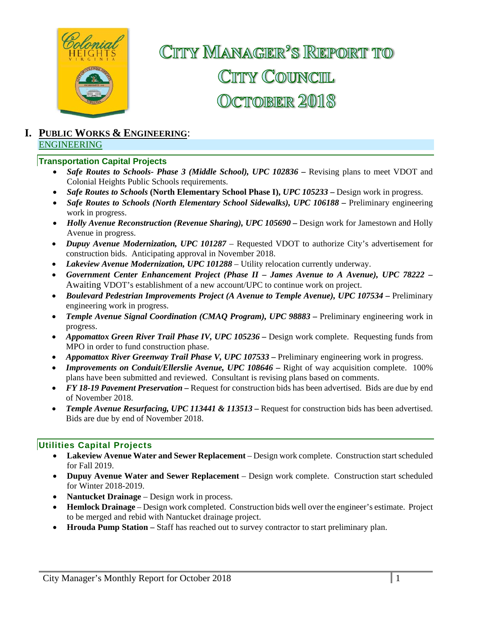

# CITTY MANAGER<sup>2</sup>S REPORT TO CITY COUNCIL OCTOBER 2018

#### **I. PUBLIC WORKS & ENGINEERING**: ENGINEERING

#### **Transportation Capital Projects**

- **Safe Routes to Schools- Phase 3 (Middle School), UPC 102836 Revising plans to meet VDOT and** Colonial Heights Public Schools requirements.
- *Safe Routes to Schools* **(North Elementary School Phase I),** *UPC 105233*Design work in progress.
- *Safe Routes to Schools (North Elementary School Sidewalks), UPC 106188 –* Preliminary engineering work in progress.
- Holly Avenue Reconstruction (Revenue Sharing), UPC 105690 Design work for Jamestown and Holly Avenue in progress.
- *Dupuy Avenue Modernization, UPC 101287*  Requested VDOT to authorize City's advertisement for construction bids. Anticipating approval in November 2018.
- *Lakeview Avenue Modernization, UPC 101288* Utility relocation currently underway.
- *Government Center Enhancement Project (Phase II James Avenue to A Avenue), UPC 78222 –* Awaiting VDOT's establishment of a new account/UPC to continue work on project.
- *Boulevard Pedestrian Improvements Project (A Avenue to Temple Avenue), UPC 107534 Preliminary* engineering work in progress.
- *Temple Avenue Signal Coordination (CMAQ Program), UPC 98883 Preliminary engineering work in* progress.
- Appomattox Green River Trail Phase IV, UPC 105236 Design work complete. Requesting funds from MPO in order to fund construction phase.
- Appomattox River Greenway Trail Phase V, UPC 107533 Preliminary engineering work in progress.
- *Improvements on Conduit/Ellerslie Avenue, UPC 108646* Right of way acquisition complete. 100% plans have been submitted and reviewed. Consultant is revising plans based on comments.
- *FY 18-19 Pavement Preservation* Request for construction bids has been advertised. Bids are due by end of November 2018.
- *Temple Avenue Resurfacing, UPC 113441 & 113513 –* Request for construction bids has been advertised. Bids are due by end of November 2018.

#### **Utilities Capital Projects**

- **Lakeview Avenue Water and Sewer Replacement**  Design work complete. Construction start scheduled for Fall 2019.
- **Dupuy Avenue Water and Sewer Replacement**  Design work complete. Construction start scheduled for Winter 2018-2019.
- **Nantucket Drainage** Design work in process.
- **Hemlock Drainage**  Design work completed. Construction bids well over the engineer's estimate. Project to be merged and rebid with Nantucket drainage project.
- **Hrouda Pump Station –** Staff has reached out to survey contractor to start preliminary plan.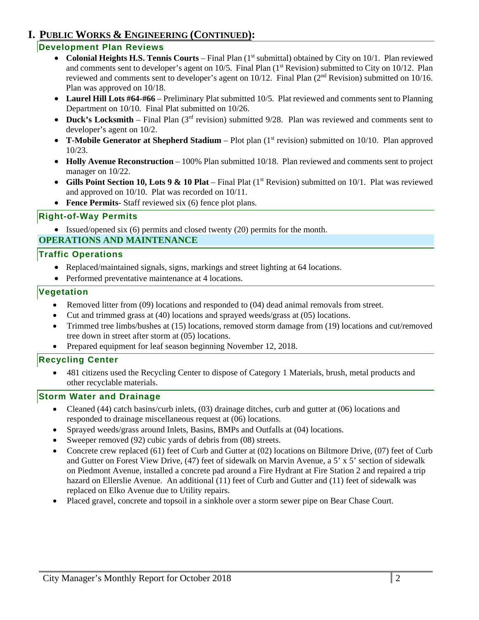## **I. PUBLIC WORKS & ENGINEERING (CONTINUED):**

#### **Development Plan Reviews**

- Colonial Heights H.S. Tennis Courts Final Plan (1<sup>st</sup> submittal) obtained by City on 10/1. Plan reviewed and comments sent to developer's agent on 10/5. Final Plan (1<sup>st</sup> Revision) submitted to City on 10/12. Plan reviewed and comments sent to developer's agent on 10/12. Final Plan (2<sup>nd</sup> Revision) submitted on 10/16. Plan was approved on 10/18.
- **Laurel Hill Lots #64-#66**  Preliminary Plat submitted 10/5. Plat reviewed and comments sent to Planning Department on 10/10. Final Plat submitted on 10/26.
- Duck's Locksmith Final Plan (3<sup>rd</sup> revision) submitted 9/28. Plan was reviewed and comments sent to developer's agent on 10/2.
- **T-Mobile Generator at Shepherd Stadium** Plot plan (1<sup>st</sup> revision) submitted on 10/10. Plan approved 10/23.
- **Holly Avenue Reconstruction** 100% Plan submitted 10/18. Plan reviewed and comments sent to project manager on  $10/22$ .
- Gills Point Section 10, Lots 9 & 10 Plat Final Plat (1<sup>st</sup> Revision) submitted on 10/1. Plat was reviewed and approved on 10/10. Plat was recorded on 10/11.
- **Fence Permits** Staff reviewed six (6) fence plot plans.

#### **Right-of-Way Permits**

• Issued/opened six (6) permits and closed twenty (20) permits for the month.

#### **OPERATIONS AND MAINTENANCE**

#### **Traffic Operations**

- Replaced/maintained signals, signs, markings and street lighting at 64 locations.
- Performed preventative maintenance at 4 locations.

#### **Vegetation**

- Removed litter from (09) locations and responded to (04) dead animal removals from street.
- Cut and trimmed grass at (40) locations and sprayed weeds/grass at (05) locations.
- Trimmed tree limbs/bushes at (15) locations, removed storm damage from (19) locations and cut/removed tree down in street after storm at (05) locations.
- Prepared equipment for leaf season beginning November 12, 2018.

#### **Recycling Center**

 481 citizens used the Recycling Center to dispose of Category 1 Materials, brush, metal products and other recyclable materials.

#### **Storm Water and Drainage**

- Cleaned (44) catch basins/curb inlets, (03) drainage ditches, curb and gutter at (06) locations and responded to drainage miscellaneous request at (06) locations.
- Sprayed weeds/grass around Inlets, Basins, BMPs and Outfalls at (04) locations.
- Sweeper removed (92) cubic yards of debris from (08) streets.
- Concrete crew replaced (61) feet of Curb and Gutter at (02) locations on Biltmore Drive, (07) feet of Curb and Gutter on Forest View Drive, (47) feet of sidewalk on Marvin Avenue, a 5' x 5' section of sidewalk on Piedmont Avenue, installed a concrete pad around a Fire Hydrant at Fire Station 2 and repaired a trip hazard on Ellerslie Avenue. An additional (11) feet of Curb and Gutter and (11) feet of sidewalk was replaced on Elko Avenue due to Utility repairs.
- Placed gravel, concrete and topsoil in a sinkhole over a storm sewer pipe on Bear Chase Court.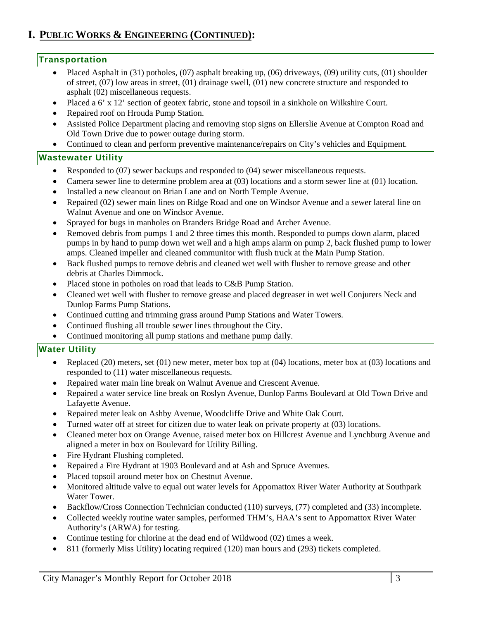## **I. PUBLIC WORKS & ENGINEERING (CONTINUED):**

#### **Transportation**

- Placed Asphalt in (31) potholes, (07) asphalt breaking up, (06) driveways, (09) utility cuts, (01) shoulder of street, (07) low areas in street, (01) drainage swell, (01) new concrete structure and responded to asphalt (02) miscellaneous requests.
- Placed a 6' x 12' section of geotex fabric, stone and topsoil in a sinkhole on Wilkshire Court.
- Repaired roof on Hrouda Pump Station.
- Assisted Police Department placing and removing stop signs on Ellerslie Avenue at Compton Road and Old Town Drive due to power outage during storm.
- Continued to clean and perform preventive maintenance/repairs on City's vehicles and Equipment.

#### **Wastewater Utility**

- Responded to (07) sewer backups and responded to (04) sewer miscellaneous requests.
- Camera sewer line to determine problem area at (03) locations and a storm sewer line at (01) location.
- Installed a new cleanout on Brian Lane and on North Temple Avenue.
- Repaired (02) sewer main lines on Ridge Road and one on Windsor Avenue and a sewer lateral line on Walnut Avenue and one on Windsor Avenue.
- Sprayed for bugs in manholes on Branders Bridge Road and Archer Avenue.
- Removed debris from pumps 1 and 2 three times this month. Responded to pumps down alarm, placed pumps in by hand to pump down wet well and a high amps alarm on pump 2, back flushed pump to lower amps. Cleaned impeller and cleaned communitor with flush truck at the Main Pump Station.
- Back flushed pumps to remove debris and cleaned wet well with flusher to remove grease and other debris at Charles Dimmock.
- Placed stone in potholes on road that leads to C&B Pump Station.
- Cleaned wet well with flusher to remove grease and placed degreaser in wet well Conjurers Neck and Dunlop Farms Pump Stations.
- Continued cutting and trimming grass around Pump Stations and Water Towers.
- Continued flushing all trouble sewer lines throughout the City.
- Continued monitoring all pump stations and methane pump daily*.*

#### **Water Utility**

- Replaced (20) meters, set (01) new meter, meter box top at (04) locations, meter box at (03) locations and responded to (11) water miscellaneous requests.
- Repaired water main line break on Walnut Avenue and Crescent Avenue.
- Repaired a water service line break on Roslyn Avenue, Dunlop Farms Boulevard at Old Town Drive and Lafayette Avenue.
- Repaired meter leak on Ashby Avenue, Woodcliffe Drive and White Oak Court.
- Turned water off at street for citizen due to water leak on private property at (03) locations.
- Cleaned meter box on Orange Avenue, raised meter box on Hillcrest Avenue and Lynchburg Avenue and aligned a meter in box on Boulevard for Utility Billing.
- Fire Hydrant Flushing completed.
- Repaired a Fire Hydrant at 1903 Boulevard and at Ash and Spruce Avenues.
- Placed topsoil around meter box on Chestnut Avenue.
- Monitored altitude valve to equal out water levels for Appomattox River Water Authority at Southpark Water Tower.
- Backflow/Cross Connection Technician conducted (110) surveys, (77) completed and (33) incomplete.
- Collected weekly routine water samples, performed THM's, HAA's sent to Appomattox River Water Authority's (ARWA) for testing.
- Continue testing for chlorine at the dead end of Wildwood (02) times a week.
- 811 (formerly Miss Utility) locating required (120) man hours and (293) tickets completed.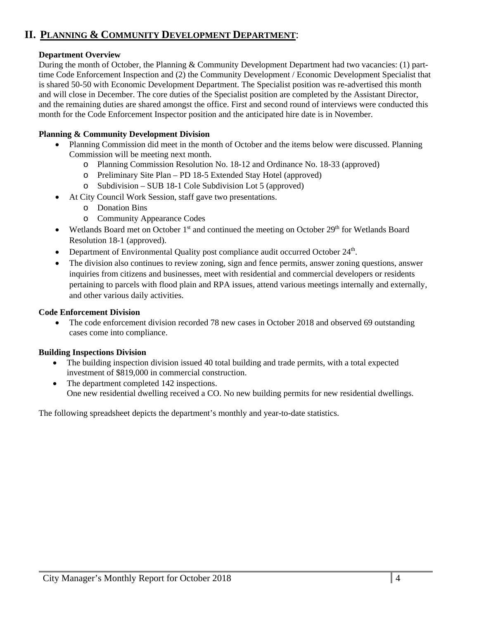## **II. PLANNING & COMMUNITY DEVELOPMENT DEPARTMENT**:

#### **Department Overview**

During the month of October, the Planning & Community Development Department had two vacancies: (1) parttime Code Enforcement Inspection and (2) the Community Development / Economic Development Specialist that is shared 50-50 with Economic Development Department. The Specialist position was re-advertised this month and will close in December. The core duties of the Specialist position are completed by the Assistant Director, and the remaining duties are shared amongst the office. First and second round of interviews were conducted this month for the Code Enforcement Inspector position and the anticipated hire date is in November.

#### **Planning & Community Development Division**

- Planning Commission did meet in the month of October and the items below were discussed. Planning Commission will be meeting next month.
	- o Planning Commission Resolution No. 18-12 and Ordinance No. 18-33 (approved)
	- o Preliminary Site Plan PD 18-5 Extended Stay Hotel (approved)
	- o Subdivision SUB 18-1 Cole Subdivision Lot 5 (approved)
- At City Council Work Session, staff gave two presentations.
	- o Donation Bins
	- o Community Appearance Codes
- Wetlands Board met on October  $1<sup>st</sup>$  and continued the meeting on October  $29<sup>th</sup>$  for Wetlands Board Resolution 18-1 (approved).
- Department of Environmental Quality post compliance audit occurred October  $24<sup>th</sup>$ .
- The division also continues to review zoning, sign and fence permits, answer zoning questions, answer inquiries from citizens and businesses, meet with residential and commercial developers or residents pertaining to parcels with flood plain and RPA issues, attend various meetings internally and externally, and other various daily activities.

#### **Code Enforcement Division**

• The code enforcement division recorded 78 new cases in October 2018 and observed 69 outstanding cases come into compliance.

#### **Building Inspections Division**

- The building inspection division issued 40 total building and trade permits, with a total expected investment of \$819,000 in commercial construction.
- The department completed 142 inspections. One new residential dwelling received a CO. No new building permits for new residential dwellings.

The following spreadsheet depicts the department's monthly and year-to-date statistics.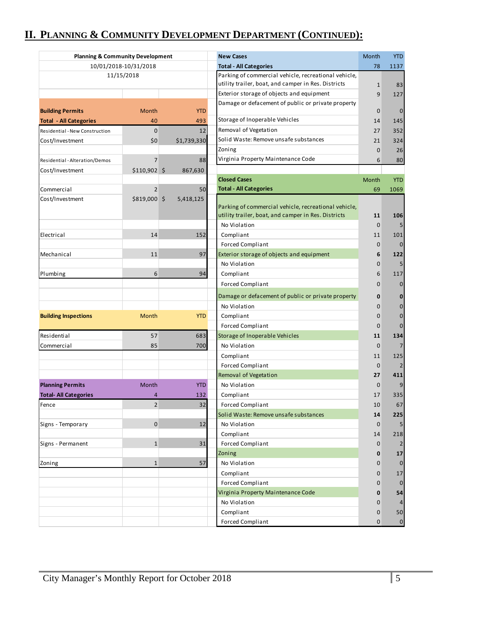## **II. PLANNING & COMMUNITY DEVELOPMENT DEPARTMENT (CONTINUED):**

| <b>Planning &amp; Community Development</b> |                |                               | <b>New Cases</b>                                     | Month          | <b>YTD</b>     |
|---------------------------------------------|----------------|-------------------------------|------------------------------------------------------|----------------|----------------|
| 10/01/2018-10/31/2018                       |                | <b>Total - All Categories</b> | 78                                                   | 1137           |                |
|                                             | 11/15/2018     |                               | Parking of commercial vehicle, recreational vehicle, |                |                |
|                                             |                |                               | utility trailer, boat, and camper in Res. Districts  | $\mathbf{1}$   | 83             |
|                                             |                |                               | Exterior storage of objects and equipment            | 9              | 127            |
| <b>Building Permits</b>                     | Month          | <b>YTD</b>                    | Damage or defacement of public or private property   | $\mathbf 0$    | $\mathbf 0$    |
| <b>Total - All Categories</b>               | 40             | 493                           | Storage of Inoperable Vehicles                       | 14             | 145            |
| Residential - New Construction              | $\mathbf 0$    | 12                            | Removal of Vegetation                                | 27             | 352            |
| Cost/Investment                             | \$0            | \$1,739,330                   | Solid Waste: Remove unsafe substances                | 21             | 324            |
|                                             |                |                               | Zoning                                               | $\mathbf 0$    | 26             |
| Residential - Alteration/Demos              | $\overline{7}$ | 88                            | Virginia Property Maintenance Code                   | 6              | 80             |
| Cost/Investment                             | \$110,902 \$   | 867,630                       |                                                      |                |                |
|                                             |                |                               | <b>Closed Cases</b>                                  | Month          | <b>YTD</b>     |
| Commercial                                  | $\overline{2}$ | 50                            | <b>Total - All Categories</b>                        | 69             | 1069           |
| Cost/Investment                             | \$819,000 \$   | 5,418,125                     |                                                      |                |                |
|                                             |                |                               | Parking of commercial vehicle, recreational vehicle, |                |                |
|                                             |                |                               | utility trailer, boat, and camper in Res. Districts  | 11             | 106            |
|                                             |                |                               | No Violation                                         | $\mathbf{0}$   | 5              |
| Electrical                                  | 14             | 152                           | Compliant                                            | 11             | 101            |
|                                             |                |                               | <b>Forced Compliant</b>                              | $\mathbf 0$    | $\overline{0}$ |
| Mechanical                                  | 11             | 97                            | Exterior storage of objects and equipment            | 6              | 122            |
|                                             |                |                               | No Violation                                         | $\mathbf{0}$   | 5              |
| Plumbing                                    | 6              | 94                            | Compliant                                            | 6              | 117            |
|                                             |                |                               | <b>Forced Compliant</b>                              | $\overline{0}$ | $\mathbf 0$    |
|                                             |                |                               |                                                      |                |                |
|                                             |                |                               | Damage or defacement of public or private property   | 0              | 0              |
|                                             |                |                               | No Violation                                         | 0              | $\pmb{0}$      |
| <b>Building Inspections</b>                 | Month          | <b>YTD</b>                    | Compliant                                            | $\mathbf 0$    | $\pmb{0}$      |
|                                             |                |                               | <b>Forced Compliant</b>                              | $\mathbf 0$    | 0              |
| Residential                                 | 57             | 683                           | Storage of Inoperable Vehicles                       | 11             | 134            |
| Commercial                                  | 85             | 700                           | No Violation                                         | $\mathbf 0$    | $\overline{7}$ |
|                                             |                |                               | Compliant                                            | 11             | 125            |
|                                             |                |                               | Forced Compliant                                     | $\mathbf 0$    | $\overline{2}$ |
|                                             |                |                               | Removal of Vegetation                                | 27             | 411            |
| <b>Planning Permits</b>                     | Month          | <b>YTD</b>                    | No Violation                                         | $\mathbf 0$    | 9              |
| <b>Total-All Categories</b>                 | 4              | 132                           | Compliant                                            | 17             | 335            |
| Fence                                       | $\overline{2}$ | 32                            | <b>Forced Compliant</b>                              | 10             | 67             |
|                                             |                |                               | Solid Waste: Remove unsafe substances                | 14             | 225            |
| Signs - Temporary                           | $\mathbf 0$    | 12                            | No Violation                                         | $\mathbf 0$    | 5              |
|                                             |                |                               | Compliant                                            | 14             | 218            |
| Signs - Permanent                           | $\mathbf{1}$   | 31                            | Forced Compliant                                     | $\mathbf 0$    | 2              |
|                                             |                |                               | Zoning                                               | $\mathbf 0$    | 17             |
| Zoning                                      | $\mathbf{1}$   | 57                            | No Violation                                         | 0              | $\mathbf 0$    |
|                                             |                |                               | Compliant                                            | 0              | 17             |
|                                             |                |                               | <b>Forced Compliant</b>                              | 0              | $\mathbf 0$    |
|                                             |                |                               | Virginia Property Maintenance Code                   | 0              | 54             |
|                                             |                |                               | No Violation                                         | 0              | 4              |
|                                             |                |                               | Compliant                                            | 0              | 50             |
|                                             |                |                               | <b>Forced Compliant</b>                              | $\mathbf{0}$   | $\pmb{0}$      |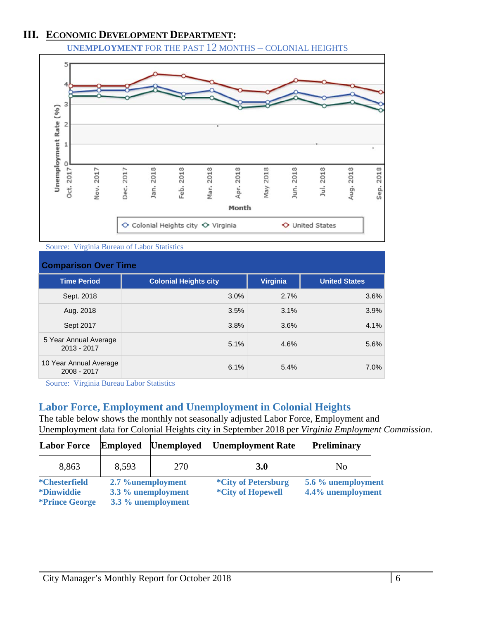## **III. ECONOMIC DEVELOPMENT DEPARTMENT:**

**UNEMPLOYMENT** FOR THE PAST 12 MONTHS – COLONIAL HEIGHTS



Source: Virginia Bureau of Labor Statistics

| <b>Comparison Over Time</b>            |                              |                 |                      |  |
|----------------------------------------|------------------------------|-----------------|----------------------|--|
| <b>Time Period</b>                     | <b>Colonial Heights city</b> | <b>Virginia</b> | <b>United States</b> |  |
| Sept. 2018                             | 3.0%                         | 2.7%            | 3.6%                 |  |
| Aug. 2018                              | 3.5%                         | 3.1%            | 3.9%                 |  |
| Sept 2017                              | 3.8%                         | 3.6%            | 4.1%                 |  |
| 5 Year Annual Average<br>$2013 - 2017$ | 5.1%                         | 4.6%            | 5.6%                 |  |
| 10 Year Annual Average<br>2008 - 2017  | 6.1%                         | 5.4%            | 7.0%                 |  |

Source: Virginia Bureau Labor Statistics

## **Labor Force, Employment and Unemployment in Colonial Heights**

The table below shows the monthly not seasonally adjusted Labor Force, Employment and Unemployment data for Colonial Heights city in September 2018 per *Virginia Employment Commission*.

| <b>Labor Force</b>    | <b>Employed</b>    | <b>Unemployed</b>  | <b>Unemployment Rate</b>   | <b>Preliminary</b> |  |
|-----------------------|--------------------|--------------------|----------------------------|--------------------|--|
| 8,863                 | 8,593              | 270                | <b>3.0</b>                 | No.                |  |
| <i>*</i> Chesterfield | 2.7 %unemployment  |                    | <i>*City of Petersburg</i> | 5.6 % unemployment |  |
| <i>*Dinwiddie</i>     | 3.3 % unemployment |                    | <i>*City of Hopewell</i>   | 4.4% unemployment  |  |
| <i>*Prince George</i> |                    | 3.3 % unemployment |                            |                    |  |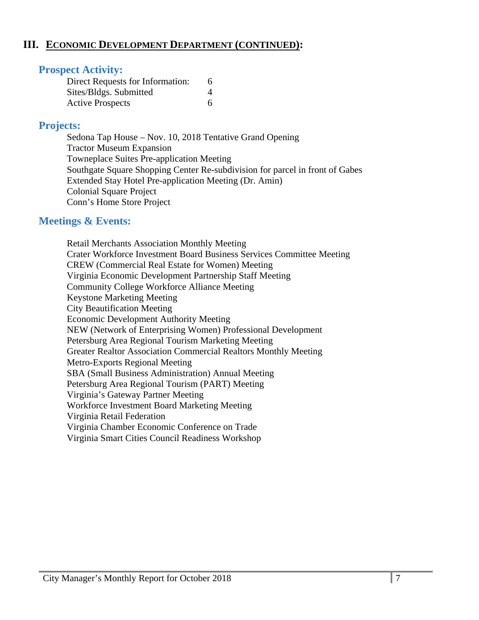#### **III. ECONOMIC DEVELOPMENT DEPARTMENT (CONTINUED):**

#### **Prospect Activity:**

| Direct Requests for Information: |  |
|----------------------------------|--|
| Sites/Bldgs. Submitted           |  |
| <b>Active Prospects</b>          |  |

#### **Projects:**

Sedona Tap House – Nov. 10, 2018 Tentative Grand Opening Tractor Museum Expansion Towneplace Suites Pre-application Meeting Southgate Square Shopping Center Re-subdivision for parcel in front of Gabes Extended Stay Hotel Pre-application Meeting (Dr. Amin) Colonial Square Project Conn's Home Store Project

#### **Meetings & Events:**

 Retail Merchants Association Monthly Meeting Crater Workforce Investment Board Business Services Committee Meeting CREW (Commercial Real Estate for Women) Meeting Virginia Economic Development Partnership Staff Meeting Community College Workforce Alliance Meeting Keystone Marketing Meeting City Beautification Meeting Economic Development Authority Meeting NEW (Network of Enterprising Women) Professional Development Petersburg Area Regional Tourism Marketing Meeting Greater Realtor Association Commercial Realtors Monthly Meeting Metro-Exports Regional Meeting SBA (Small Business Administration) Annual Meeting Petersburg Area Regional Tourism (PART) Meeting Virginia's Gateway Partner Meeting Workforce Investment Board Marketing Meeting Virginia Retail Federation Virginia Chamber Economic Conference on Trade Virginia Smart Cities Council Readiness Workshop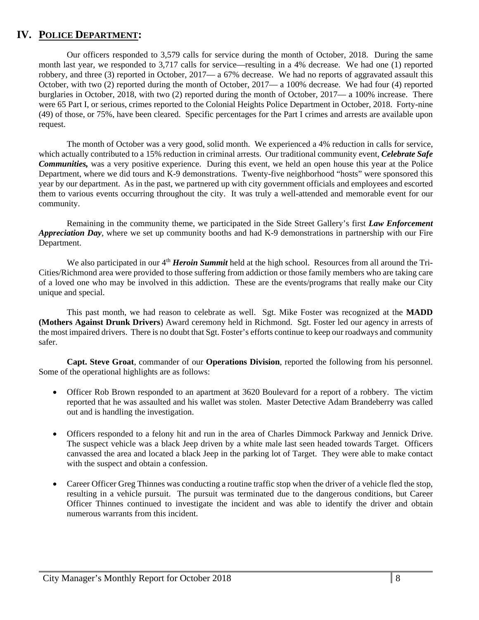#### **IV. POLICE DEPARTMENT:**

 Our officers responded to 3,579 calls for service during the month of October, 2018. During the same month last year, we responded to 3,717 calls for service—resulting in a 4% decrease. We had one (1) reported robbery, and three (3) reported in October, 2017— a 67% decrease. We had no reports of aggravated assault this October, with two (2) reported during the month of October, 2017— a 100% decrease. We had four (4) reported burglaries in October, 2018, with two (2) reported during the month of October, 2017— a 100% increase. There were 65 Part I, or serious, crimes reported to the Colonial Heights Police Department in October, 2018. Forty-nine (49) of those, or 75%, have been cleared. Specific percentages for the Part I crimes and arrests are available upon request.

The month of October was a very good, solid month. We experienced a 4% reduction in calls for service, which actually contributed to a 15% reduction in criminal arrests. Our traditional community event, *Celebrate Safe Communities,* was a very positive experience. During this event, we held an open house this year at the Police Department, where we did tours and K-9 demonstrations. Twenty-five neighborhood "hosts" were sponsored this year by our department. As in the past, we partnered up with city government officials and employees and escorted them to various events occurring throughout the city. It was truly a well-attended and memorable event for our community.

Remaining in the community theme, we participated in the Side Street Gallery's first *Law Enforcement Appreciation Day*, where we set up community booths and had K-9 demonstrations in partnership with our Fire Department.

We also participated in our 4<sup>th</sup> *Heroin Summit* held at the high school. Resources from all around the Tri-Cities/Richmond area were provided to those suffering from addiction or those family members who are taking care of a loved one who may be involved in this addiction. These are the events/programs that really make our City unique and special.

This past month, we had reason to celebrate as well. Sgt. Mike Foster was recognized at the **MADD (Mothers Against Drunk Drivers**) Award ceremony held in Richmond. Sgt. Foster led our agency in arrests of the most impaired drivers. There is no doubt that Sgt. Foster's efforts continue to keep our roadways and community safer.

**Capt. Steve Groat**, commander of our **Operations Division**, reported the following from his personnel. Some of the operational highlights are as follows:

- Officer Rob Brown responded to an apartment at 3620 Boulevard for a report of a robbery. The victim reported that he was assaulted and his wallet was stolen. Master Detective Adam Brandeberry was called out and is handling the investigation.
- Officers responded to a felony hit and run in the area of Charles Dimmock Parkway and Jennick Drive. The suspect vehicle was a black Jeep driven by a white male last seen headed towards Target. Officers canvassed the area and located a black Jeep in the parking lot of Target. They were able to make contact with the suspect and obtain a confession.
- Career Officer Greg Thinnes was conducting a routine traffic stop when the driver of a vehicle fled the stop, resulting in a vehicle pursuit. The pursuit was terminated due to the dangerous conditions, but Career Officer Thinnes continued to investigate the incident and was able to identify the driver and obtain numerous warrants from this incident.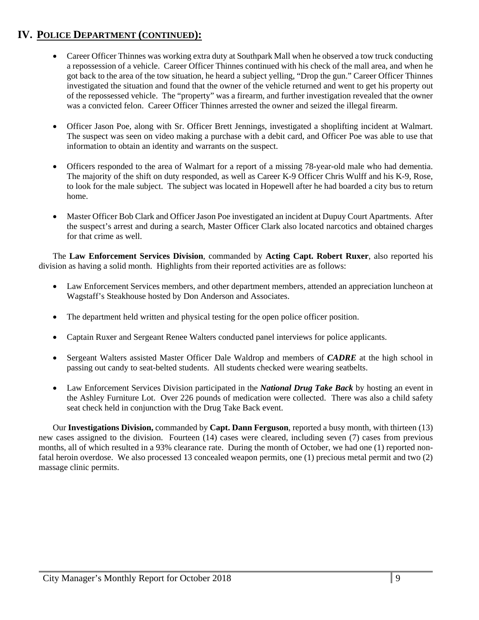- Career Officer Thinnes was working extra duty at Southpark Mall when he observed a tow truck conducting a repossession of a vehicle. Career Officer Thinnes continued with his check of the mall area, and when he got back to the area of the tow situation, he heard a subject yelling, "Drop the gun." Career Officer Thinnes investigated the situation and found that the owner of the vehicle returned and went to get his property out of the repossessed vehicle. The "property" was a firearm, and further investigation revealed that the owner was a convicted felon. Career Officer Thinnes arrested the owner and seized the illegal firearm.
- Officer Jason Poe, along with Sr. Officer Brett Jennings, investigated a shoplifting incident at Walmart. The suspect was seen on video making a purchase with a debit card, and Officer Poe was able to use that information to obtain an identity and warrants on the suspect.
- Officers responded to the area of Walmart for a report of a missing 78-year-old male who had dementia. The majority of the shift on duty responded, as well as Career K-9 Officer Chris Wulff and his K-9, Rose, to look for the male subject. The subject was located in Hopewell after he had boarded a city bus to return home.
- Master Officer Bob Clark and Officer Jason Poe investigated an incident at Dupuy Court Apartments. After the suspect's arrest and during a search, Master Officer Clark also located narcotics and obtained charges for that crime as well.

The **Law Enforcement Services Division**, commanded by **Acting Capt. Robert Ruxer**, also reported his division as having a solid month. Highlights from their reported activities are as follows:

- Law Enforcement Services members, and other department members, attended an appreciation luncheon at Wagstaff's Steakhouse hosted by Don Anderson and Associates.
- The department held written and physical testing for the open police officer position.
- Captain Ruxer and Sergeant Renee Walters conducted panel interviews for police applicants.
- Sergeant Walters assisted Master Officer Dale Waldrop and members of *CADRE* at the high school in passing out candy to seat-belted students. All students checked were wearing seatbelts.
- Law Enforcement Services Division participated in the *National Drug Take Back* by hosting an event in the Ashley Furniture Lot. Over 226 pounds of medication were collected. There was also a child safety seat check held in conjunction with the Drug Take Back event.

Our **Investigations Division,** commanded by **Capt. Dann Ferguson**, reported a busy month, with thirteen (13) new cases assigned to the division. Fourteen (14) cases were cleared, including seven (7) cases from previous months, all of which resulted in a 93% clearance rate. During the month of October, we had one (1) reported nonfatal heroin overdose. We also processed 13 concealed weapon permits, one (1) precious metal permit and two (2) massage clinic permits.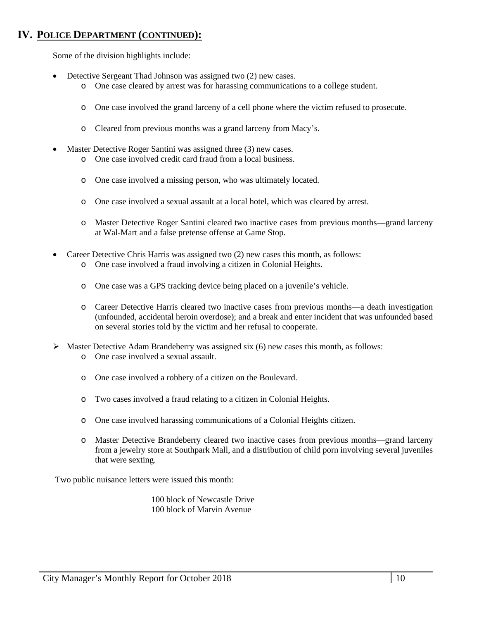Some of the division highlights include:

- Detective Sergeant Thad Johnson was assigned two (2) new cases.
	- o One case cleared by arrest was for harassing communications to a college student.
	- o One case involved the grand larceny of a cell phone where the victim refused to prosecute.
	- o Cleared from previous months was a grand larceny from Macy's.
- Master Detective Roger Santini was assigned three (3) new cases.
	- o One case involved credit card fraud from a local business.
	- o One case involved a missing person, who was ultimately located.
	- o One case involved a sexual assault at a local hotel, which was cleared by arrest.
	- o Master Detective Roger Santini cleared two inactive cases from previous months—grand larceny at Wal-Mart and a false pretense offense at Game Stop.
- Career Detective Chris Harris was assigned two (2) new cases this month, as follows:
	- o One case involved a fraud involving a citizen in Colonial Heights.
	- o One case was a GPS tracking device being placed on a juvenile's vehicle.
	- o Career Detective Harris cleared two inactive cases from previous months—a death investigation (unfounded, accidental heroin overdose); and a break and enter incident that was unfounded based on several stories told by the victim and her refusal to cooperate.
- $\triangleright$  Master Detective Adam Brandeberry was assigned six (6) new cases this month, as follows: o One case involved a sexual assault.
	-
	- o One case involved a robbery of a citizen on the Boulevard.
	- o Two cases involved a fraud relating to a citizen in Colonial Heights.
	- o One case involved harassing communications of a Colonial Heights citizen.
	- o Master Detective Brandeberry cleared two inactive cases from previous months—grand larceny from a jewelry store at Southpark Mall, and a distribution of child porn involving several juveniles that were sexting.

Two public nuisance letters were issued this month:

 100 block of Newcastle Drive 100 block of Marvin Avenue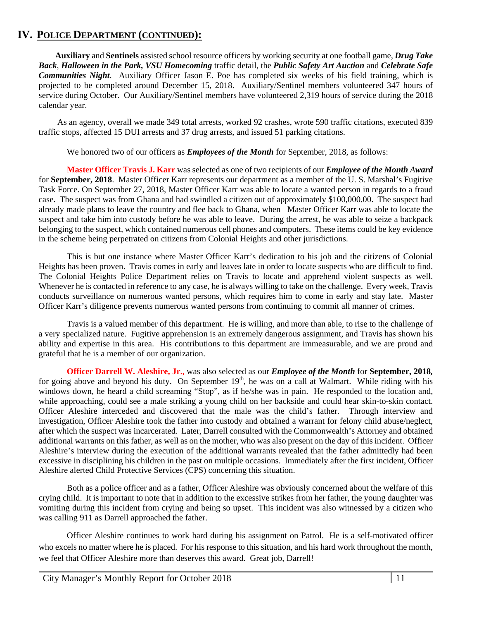**Auxiliary** and **Sentinels** assisted school resource officers by working security at one football game, *Drug Take Back*, *Halloween in the Park, VSU Homecoming* traffic detail, the *Public Safety Art Auction* and *Celebrate Safe Communities Night*. Auxiliary Officer Jason E. Poe has completed six weeks of his field training, which is projected to be completed around December 15, 2018. Auxiliary/Sentinel members volunteered 347 hours of service during October. Our Auxiliary/Sentinel members have volunteered 2,319 hours of service during the 2018 calendar year.

 As an agency, overall we made 349 total arrests, worked 92 crashes, wrote 590 traffic citations, executed 839 traffic stops, affected 15 DUI arrests and 37 drug arrests, and issued 51 parking citations.

We honored two of our officers as *Employees of the Month* for September, 2018, as follows:

**Master Officer Travis J. Karr** was selected as one of two recipients of our *Employee of the Month Award* for **September, 2018**. Master Officer Karr represents our department as a member of the U. S. Marshal's Fugitive Task Force. On September 27, 2018, Master Officer Karr was able to locate a wanted person in regards to a fraud case. The suspect was from Ghana and had swindled a citizen out of approximately \$100,000.00. The suspect had already made plans to leave the country and flee back to Ghana, when Master Officer Karr was able to locate the suspect and take him into custody before he was able to leave. During the arrest, he was able to seize a backpack belonging to the suspect, which contained numerous cell phones and computers. These items could be key evidence in the scheme being perpetrated on citizens from Colonial Heights and other jurisdictions.

This is but one instance where Master Officer Karr's dedication to his job and the citizens of Colonial Heights has been proven. Travis comes in early and leaves late in order to locate suspects who are difficult to find. The Colonial Heights Police Department relies on Travis to locate and apprehend violent suspects as well. Whenever he is contacted in reference to any case, he is always willing to take on the challenge. Every week, Travis conducts surveillance on numerous wanted persons, which requires him to come in early and stay late. Master Officer Karr's diligence prevents numerous wanted persons from continuing to commit all manner of crimes.

Travis is a valued member of this department. He is willing, and more than able, to rise to the challenge of a very specialized nature. Fugitive apprehension is an extremely dangerous assignment, and Travis has shown his ability and expertise in this area. His contributions to this department are immeasurable, and we are proud and grateful that he is a member of our organization.

**Officer Darrell W. Aleshire, Jr.,** was also selected as our *Employee of the Month* for **September, 2018***,*  for going above and beyond his duty. On September  $19<sup>th</sup>$ , he was on a call at Walmart. While riding with his windows down, he heard a child screaming "Stop", as if he/she was in pain. He responded to the location and, while approaching, could see a male striking a young child on her backside and could hear skin-to-skin contact. Officer Aleshire interceded and discovered that the male was the child's father. Through interview and investigation, Officer Aleshire took the father into custody and obtained a warrant for felony child abuse/neglect, after which the suspect was incarcerated. Later, Darrell consulted with the Commonwealth's Attorney and obtained additional warrants on this father, as well as on the mother, who was also present on the day of this incident. Officer Aleshire's interview during the execution of the additional warrants revealed that the father admittedly had been excessive in disciplining his children in the past on multiple occasions. Immediately after the first incident, Officer Aleshire alerted Child Protective Services (CPS) concerning this situation.

 Both as a police officer and as a father, Officer Aleshire was obviously concerned about the welfare of this crying child. It is important to note that in addition to the excessive strikes from her father, the young daughter was vomiting during this incident from crying and being so upset. This incident was also witnessed by a citizen who was calling 911 as Darrell approached the father.

 Officer Aleshire continues to work hard during his assignment on Patrol. He is a self-motivated officer who excels no matter where he is placed. For his response to this situation, and his hard work throughout the month, we feel that Officer Aleshire more than deserves this award. Great job, Darrell!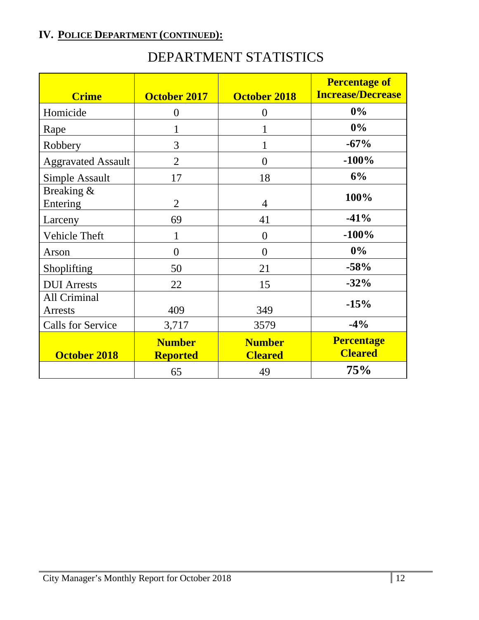## DEPARTMENT STATISTICS

| <b>Crime</b>                   | <b>October 2017</b>              | October 2018                    | <b>Percentage of</b><br><b>Increase/Decrease</b> |
|--------------------------------|----------------------------------|---------------------------------|--------------------------------------------------|
| Homicide                       | $\overline{0}$                   | $\overline{0}$                  | $0\%$                                            |
| Rape                           | 1                                |                                 | $0\%$                                            |
| Robbery                        | 3                                | 1                               | $-67%$                                           |
| <b>Aggravated Assault</b>      | $\overline{2}$                   | $\overline{0}$                  | $-100%$                                          |
| Simple Assault                 | 17                               | 18                              | 6%                                               |
| Breaking &<br>Entering         | $\overline{2}$                   | $\overline{4}$                  | 100%                                             |
| Larceny                        | 69                               | 41                              | $-41%$                                           |
| Vehicle Theft                  |                                  | $\overline{0}$                  | $-100%$                                          |
| Arson                          | $\overline{0}$                   | $\overline{0}$                  | $0\%$                                            |
| Shoplifting                    | 50                               | 21                              | $-58%$                                           |
| <b>DUI</b> Arrests             | 22                               | 15                              | $-32%$                                           |
| All Criminal<br><b>Arrests</b> | 409                              | 349                             | $-15%$                                           |
| <b>Calls for Service</b>       | 3,717                            | 3579                            | $-4%$                                            |
| <b>October 2018</b>            | <b>Number</b><br><b>Reported</b> | <b>Number</b><br><b>Cleared</b> | <b>Percentage</b><br><b>Cleared</b>              |
|                                | 65                               | 49                              | 75%                                              |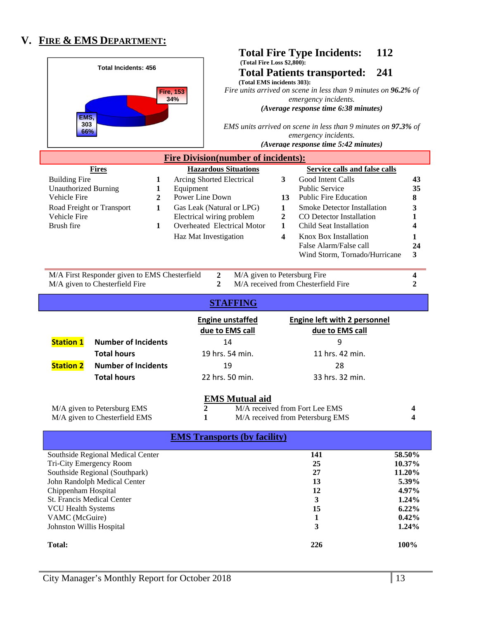## **V. FIRE & EMS DEPARTMENT:**

|                                                     |                                                           |                                                          | 112<br><b>Total Fire Type Incidents:</b>                                                                                       |                  |  |
|-----------------------------------------------------|-----------------------------------------------------------|----------------------------------------------------------|--------------------------------------------------------------------------------------------------------------------------------|------------------|--|
| <b>Total Incidents: 456</b>                         |                                                           |                                                          | (Total Fire Loss \$2.800):<br>241<br><b>Total Patients transported:</b><br>(Total EMS incidents 303):                          |                  |  |
| EMS.                                                |                                                           | <b>Fire, 153</b><br>34%                                  | Fire units arrived on scene in less than 9 minutes on 96.2% of<br>emergency incidents.<br>(Average response time 6:38 minutes) |                  |  |
| 303<br>66%                                          |                                                           |                                                          | EMS units arrived on scene in less than 9 minutes on 97.3% of<br>emergency incidents.<br>(Average response time 5:42 minutes)  |                  |  |
|                                                     |                                                           | <b>Fire Division(number of incidents):</b>               |                                                                                                                                |                  |  |
|                                                     | <b>Fires</b>                                              | <b>Hazardous Situations</b>                              | Service calls and false calls                                                                                                  |                  |  |
| <b>Building Fire</b><br><b>Unauthorized Burning</b> | 1<br>1                                                    | Arcing Shorted Electrical<br>Equipment                   | $\mathbf{3}$<br>Good Intent Calls<br><b>Public Service</b>                                                                     | 43<br>35         |  |
| Vehicle Fire                                        | $\overline{2}$                                            | Power Line Down                                          | <b>Public Fire Education</b><br>13                                                                                             | 8                |  |
|                                                     | Road Freight or Transport<br>$\mathbf{1}$                 | Gas Leak (Natural or LPG)                                | <b>Smoke Detector Installation</b><br>$\mathbf{1}$                                                                             | 3                |  |
| Vehicle Fire<br>Brush fire                          | $\mathbf{1}$                                              | Electrical wiring problem<br>Overheated Electrical Motor | $\boldsymbol{2}$<br>CO Detector Installation<br>Child Seat Installation<br>1                                                   | 1<br>4           |  |
|                                                     |                                                           | Haz Mat Investigation                                    | Knox Box Installation<br>$\overline{\mathbf{4}}$                                                                               | 1                |  |
|                                                     |                                                           |                                                          | False Alarm/False call                                                                                                         | 24               |  |
|                                                     |                                                           |                                                          | Wind Storm, Tornado/Hurricane                                                                                                  | 3                |  |
|                                                     | M/A First Responder given to EMS Chesterfield             | $\boldsymbol{2}$                                         | M/A given to Petersburg Fire                                                                                                   | 4                |  |
|                                                     | M/A given to Chesterfield Fire                            | $\overline{2}$                                           | M/A received from Chesterfield Fire                                                                                            | 2                |  |
|                                                     |                                                           | <b>STAFFING</b>                                          |                                                                                                                                |                  |  |
|                                                     |                                                           | <b>Engine unstaffed</b><br>due to EMS call               | <b>Engine left with 2 personnel</b><br>due to EMS call                                                                         |                  |  |
| <b>Station 1</b>                                    | <b>Number of Incidents</b>                                | 14                                                       | 9                                                                                                                              |                  |  |
|                                                     | <b>Total hours</b>                                        | 19 hrs. 54 min.                                          | 11 hrs. 42 min.                                                                                                                |                  |  |
| <b>Station 2</b>                                    | <b>Number of Incidents</b>                                | 19                                                       | 28                                                                                                                             |                  |  |
|                                                     | <b>Total hours</b>                                        | 22 hrs. 50 min.                                          | 33 hrs. 32 min.                                                                                                                |                  |  |
|                                                     |                                                           | <b>EMS Mutual aid</b>                                    |                                                                                                                                |                  |  |
|                                                     | M/A given to Petersburg EMS                               | 2                                                        | M/A received from Fort Lee EMS                                                                                                 | 4                |  |
|                                                     | M/A given to Chesterfield EMS                             | 1                                                        | M/A received from Petersburg EMS                                                                                               | 4                |  |
| <b>EMS Transports (by facility)</b>                 |                                                           |                                                          |                                                                                                                                |                  |  |
|                                                     | Southside Regional Medical Center                         |                                                          | 141                                                                                                                            | 58.50%           |  |
|                                                     | Tri-City Emergency Room<br>Southside Regional (Southpark) |                                                          | 25<br>27                                                                                                                       | 10.37%<br>11.20% |  |
|                                                     | John Randolph Medical Center                              |                                                          | 13                                                                                                                             | 5.39%            |  |
| Chippenham Hospital                                 |                                                           |                                                          | 12                                                                                                                             | 4.97%            |  |
| <b>VCU Health Systems</b>                           | St. Francis Medical Center                                |                                                          | 3<br>15                                                                                                                        | 1.24%<br>6.22%   |  |
| VAMC (McGuire)                                      |                                                           |                                                          | 1                                                                                                                              | 0.42%            |  |

Johnston Willis Hospital

 **1.24%** 

**3**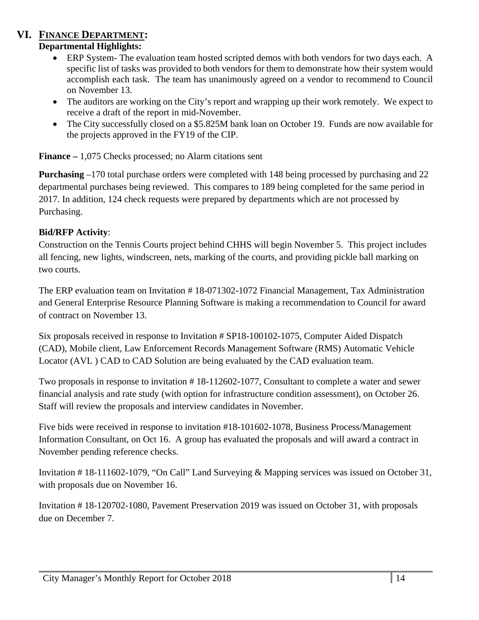## **VI. FINANCE DEPARTMENT:**

#### **Departmental Highlights:**

- ERP System- The evaluation team hosted scripted demos with both vendors for two days each. A specific list of tasks was provided to both vendors for them to demonstrate how their system would accomplish each task. The team has unanimously agreed on a vendor to recommend to Council on November 13.
- The auditors are working on the City's report and wrapping up their work remotely. We expect to receive a draft of the report in mid-November.
- The City successfully closed on a \$5.825M bank loan on October 19. Funds are now available for the projects approved in the FY19 of the CIP.

**Finance –** 1,075 Checks processed; no Alarm citations sent

**Purchasing** –170 total purchase orders were completed with 148 being processed by purchasing and 22 departmental purchases being reviewed. This compares to 189 being completed for the same period in 2017. In addition, 124 check requests were prepared by departments which are not processed by Purchasing.

#### **Bid/RFP Activity**:

Construction on the Tennis Courts project behind CHHS will begin November 5. This project includes all fencing, new lights, windscreen, nets, marking of the courts, and providing pickle ball marking on two courts.

The ERP evaluation team on Invitation # 18-071302-1072 Financial Management, Tax Administration and General Enterprise Resource Planning Software is making a recommendation to Council for award of contract on November 13.

Six proposals received in response to Invitation # SP18-100102-1075, Computer Aided Dispatch (CAD), Mobile client, Law Enforcement Records Management Software (RMS) Automatic Vehicle Locator (AVL ) CAD to CAD Solution are being evaluated by the CAD evaluation team.

Two proposals in response to invitation # 18-112602-1077, Consultant to complete a water and sewer financial analysis and rate study (with option for infrastructure condition assessment), on October 26. Staff will review the proposals and interview candidates in November.

Five bids were received in response to invitation #18-101602-1078, Business Process/Management Information Consultant, on Oct 16. A group has evaluated the proposals and will award a contract in November pending reference checks.

Invitation # 18-111602-1079, "On Call" Land Surveying & Mapping services was issued on October 31, with proposals due on November 16.

Invitation # 18-120702-1080, Pavement Preservation 2019 was issued on October 31, with proposals due on December 7.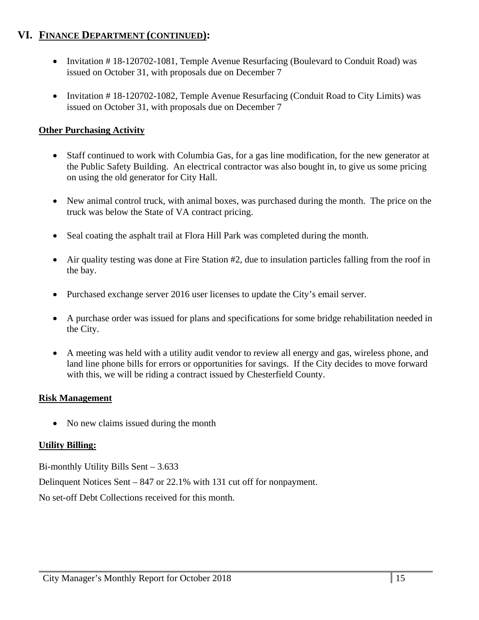## **VI. FINANCE DEPARTMENT (CONTINUED):**

- Invitation # 18-120702-1081, Temple Avenue Resurfacing (Boulevard to Conduit Road) was issued on October 31, with proposals due on December 7
- Invitation  $\# 18 120702 1082$ , Temple Avenue Resurfacing (Conduit Road to City Limits) was issued on October 31, with proposals due on December 7

#### **Other Purchasing Activity**

- Staff continued to work with Columbia Gas, for a gas line modification, for the new generator at the Public Safety Building. An electrical contractor was also bought in, to give us some pricing on using the old generator for City Hall.
- New animal control truck, with animal boxes, was purchased during the month. The price on the truck was below the State of VA contract pricing.
- Seal coating the asphalt trail at Flora Hill Park was completed during the month.
- Air quality testing was done at Fire Station #2, due to insulation particles falling from the roof in the bay.
- Purchased exchange server 2016 user licenses to update the City's email server.
- A purchase order was issued for plans and specifications for some bridge rehabilitation needed in the City.
- A meeting was held with a utility audit vendor to review all energy and gas, wireless phone, and land line phone bills for errors or opportunities for savings. If the City decides to move forward with this, we will be riding a contract issued by Chesterfield County.

#### **Risk Management**

• No new claims issued during the month

#### **Utility Billing:**

Bi-monthly Utility Bills Sent – 3.633

Delinquent Notices Sent – 847 or 22.1% with 131 cut off for nonpayment.

No set-off Debt Collections received for this month.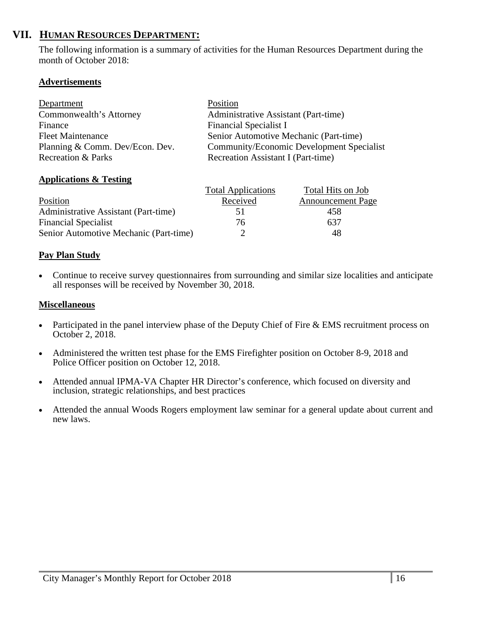## **VII. HUMAN RESOURCES DEPARTMENT:**

The following information is a summary of activities for the Human Resources Department during the month of October 2018:

#### **Advertisements**

| Department                      | Position                                  |
|---------------------------------|-------------------------------------------|
| Commonwealth's Attorney         | Administrative Assistant (Part-time)      |
| Finance                         | <b>Financial Specialist I</b>             |
| <b>Fleet Maintenance</b>        | Senior Automotive Mechanic (Part-time)    |
| Planning & Comm. Dev/Econ. Dev. | Community/Economic Development Specialist |
| <b>Recreation &amp; Parks</b>   | Recreation Assistant I (Part-time)        |

#### **Applications & Testing**

|                                        | <b>Total Applications</b> | Total Hits on Job        |
|----------------------------------------|---------------------------|--------------------------|
| Position                               | Received                  | <b>Announcement Page</b> |
| Administrative Assistant (Part-time)   | 5 $\vdash$                | 458                      |
| <b>Financial Specialist</b>            | 76                        | 637                      |
| Senior Automotive Mechanic (Part-time) |                           | 48                       |

#### **Pay Plan Study**

 Continue to receive survey questionnaires from surrounding and similar size localities and anticipate all responses will be received by November 30, 2018.

#### **Miscellaneous**

- Participated in the panel interview phase of the Deputy Chief of Fire  $& EMS$  recruitment process on October 2, 2018.
- Administered the written test phase for the EMS Firefighter position on October 8-9, 2018 and Police Officer position on October 12, 2018.
- Attended annual IPMA-VA Chapter HR Director's conference, which focused on diversity and inclusion, strategic relationships, and best practices
- Attended the annual Woods Rogers employment law seminar for a general update about current and new laws.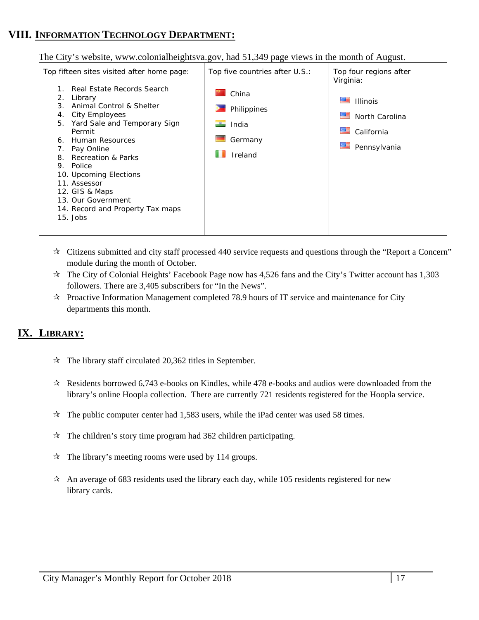## **VIII. INFORMATION TECHNOLOGY DEPARTMENT:**

The City's website, www.colonialheightsva.gov, had 51,349 page views in the month of August.



- $\star$  Citizens submitted and city staff processed 440 service requests and questions through the "Report a Concern" module during the month of October.
- $\star$  The City of Colonial Heights' Facebook Page now has 4,526 fans and the City's Twitter account has 1,303 followers. There are 3,405 subscribers for "In the News".
- $\star$  Proactive Information Management completed 78.9 hours of IT service and maintenance for City departments this month.

## **IX. LIBRARY:**

- $\approx$  The library staff circulated 20,362 titles in September.
- $\approx$  Residents borrowed 6,743 e-books on Kindles, while 478 e-books and audios were downloaded from the library's online Hoopla collection. There are currently 721 residents registered for the Hoopla service.
- $\star$  The public computer center had 1,583 users, while the iPad center was used 58 times.
- $\hat{x}$  The children's story time program had 362 children participating.
- $\mathcal{R}$  The library's meeting rooms were used by 114 groups.
- An average of 683 residents used the library each day, while 105 residents registered for new library cards.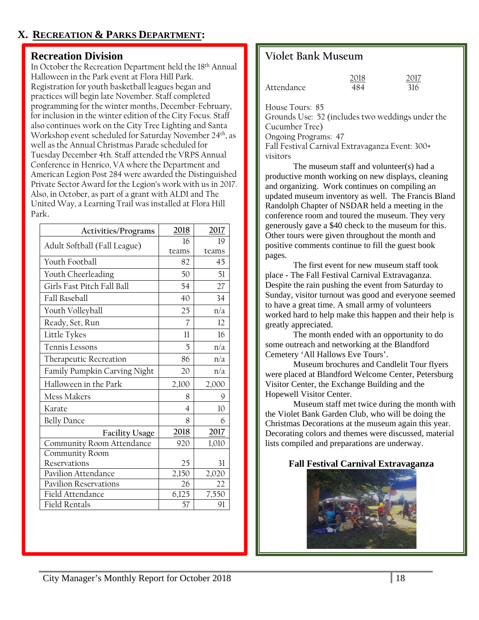## **X. RECREATION & PARKS DEPARTMENT:**

#### **Recreation Division**

In October the Recreation Department held the 18th Annual Halloween in the Park event at Flora Hill Park. Registration for youth basketball leagues began and practices will begin late November. Staff completed programming for the winter months, December-February, for inclusion in the winter edition of the City Focus. Staff also continues work on the City Tree Lighting and Santa Workshop event scheduled for Saturday November 24th, as well as the Annual Christmas Parade scheduled for Tuesday December 4th. Staff attended the VRPS Annual Conference in Henrico, VA where the Department and American Legion Post 284 were awarded the Distinguished Private Sector Award for the Legion's work with us in 2017. Also, in October, as part of a grant with ALDI and The United Way, a Learning Trail was installed at Flora Hill Park.

| Activities/Programs          | 2018           | 2017  |
|------------------------------|----------------|-------|
| Adult Softball (Fall League) | 16             | 19    |
|                              | teams          | teams |
| Youth Football               | 82             | 45    |
| Youth Cheerleading           | 50             | 51    |
| Girls Fast Pitch Fall Ball   | 54             | 27    |
| Fall Baseball                | 40             | 34    |
| Youth Volleyball             | 25             | n/a   |
| Ready, Set, Run              | 7              | 12    |
| Little Tykes                 | $_{11}$        | 16    |
| Tennis Lessons               | 5              | n/a   |
| Therapeutic Recreation       | 86             | n/a   |
| Family Pumpkin Carving Night | 20             | n/a   |
| Halloween in the Park        | 2,100          | 2,000 |
| Mess Makers                  | 8              | 9     |
| Karate                       | $\overline{4}$ | 10    |
| <b>Belly Dance</b>           | 8              | 6     |
| <b>Facility Usage</b>        | 2018           | 2017  |
| Community Room Attendance    | 920            | 1,010 |
| Community Room               |                |       |
| Reservations                 | 25             | 31    |
| Pavilion Attendance          | 2,150          | 2,020 |
| <b>Pavilion Reservations</b> | 26             | 22    |
| Field Attendance             | 6,125          | 7,550 |
| Field Rentals                | 57             | 91    |

## **Violet Bank Museum**

|            | 2018 | 2017 |
|------------|------|------|
| Attendance | 484  | 316  |

House Tours: 85

Grounds Use: 52 (includes two weddings under the Cucumber Tree)

Ongoing Programs: 47

Fall Festival Carnival Extravaganza Event: 300+ visitors

The museum staff and volunteer(s) had a productive month working on new displays, cleaning and organizing. Work continues on compiling an updated museum inventory as well. The Francis Bland Randolph Chapter of NSDAR held a meeting in the conference room and toured the museum. They very generously gave a \$40 check to the museum for this. Other tours were given throughout the month and positive comments continue to fill the guest book pages.

The first event for new museum staff took place - The Fall Festival Carnival Extravaganza. Despite the rain pushing the event from Saturday to Sunday, visitor turnout was good and everyone seemed to have a great time. A small army of volunteers worked hard to help make this happen and their help is greatly appreciated.

The month ended with an opportunity to do some outreach and networking at the Blandford Cemetery 'All Hallows Eve Tours'.

Museum brochures and Candlelit Tour flyers were placed at Blandford Welcome Center, Petersburg Visitor Center, the Exchange Building and the Hopewell Visitor Center.

Museum staff met twice during the month with the Violet Bank Garden Club, who will be doing the Christmas Decorations at the museum again this year. Decorating colors and themes were discussed, material lists compiled and preparations are underway.

#### **Fall Festival Carnival Extravaganza**

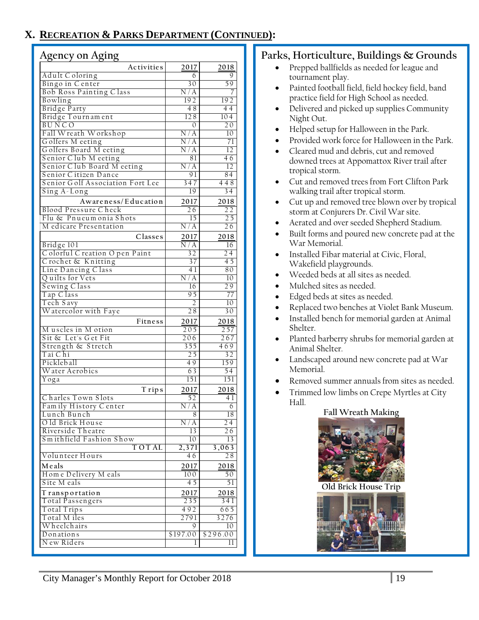## **X. RECREATION & PARKS DEPARTMENT (CONTINUED):**

#### **Agency on Aging**

| Adult C oloring<br>6<br>9<br>Bingo in Center<br>30<br>59<br>Bob Ross Painting Class<br>N/A<br>7<br>Bowling<br>192<br>192<br>Bridge Party<br>$\overline{48}$<br>44<br>Bridge Tournament<br>128<br>$\overline{104}$<br>BUNCO<br>$\mathbf{0}$<br>20<br>Fall Wreath Workshop<br>N/A<br>10<br>Golfers Meeting<br>N/A<br>71<br>Golfers Board Meeting<br>N/A<br>12<br>Senior Club M eeting<br>81<br>46<br>Senior Club Board Meeting<br>N / A<br>$\overline{12}$<br>Senior Citizen Dance<br>91<br>84<br>Senior Golf Association Fort Lee<br>347<br>448<br>Sing A-Long<br>$\overline{34}$<br>19<br>Awareness/Education<br>2017<br>2018<br><b>Blood Pressure Check</b><br>26<br>22<br>Flu & Pnueumonia Shots<br>15<br>25<br>M edicare Presentation<br>N/A<br>$\overline{26}$<br>Classes<br>2017<br>2018<br>Bridge 101<br>$\overline{N/A}$<br>16<br>Colorful Creation Open Paint<br>32<br>24<br>Crochet & Knitting<br>37<br>45<br>Line Dancing Class<br>41<br>80<br>Quilts for Vets<br>N/A<br>10<br>Sewing Class<br>16<br>29<br>Tap Class<br>95<br>77<br>Tech Savy<br>$\overline{2}$<br>10<br>Watercolor with Faye<br>28<br>30<br>Fitness<br>2017<br>2018<br>Muscles in Motion<br>205<br>257<br>Sit & Let's Get Fit<br>206<br>267<br>Strength & Stretch<br>355<br>469<br>Tai C hi<br>25<br>32<br>Pickleball<br>49<br>159<br>Water Aerobics<br>63<br>54<br>Yoga<br>151<br>151<br>2017<br>2018<br>T rips<br>Charles Town Slots<br>52<br>41<br>Family History Center<br>N/A<br>6<br>Lunch Bunch<br>8<br>18<br>Old Brick House<br>$\overline{N}/A$<br>24<br>Riverside Theatre<br>13<br>26<br>Smithfield Fashion Show<br>10<br>13<br><b>TOTAL</b><br>2,371<br>3,063<br>Volunteer Hours<br>46<br>28<br>Meals<br>2017<br>2018<br>Home Delivery Meals<br>100<br>50<br>Site M eals<br>45<br>51<br>T ransportation<br>2017<br>2018<br>Total Passengers<br>235<br>341<br>Total Trips<br>492<br>665<br>Total M iles<br>2791<br>3276<br>Wheelchairs<br>9<br>10<br>Donations<br>\$197.00<br>\$296.00<br>N ew Riders<br>11<br>1 | O.<br>o<br>$\circ$ |      |      |
|-------------------------------------------------------------------------------------------------------------------------------------------------------------------------------------------------------------------------------------------------------------------------------------------------------------------------------------------------------------------------------------------------------------------------------------------------------------------------------------------------------------------------------------------------------------------------------------------------------------------------------------------------------------------------------------------------------------------------------------------------------------------------------------------------------------------------------------------------------------------------------------------------------------------------------------------------------------------------------------------------------------------------------------------------------------------------------------------------------------------------------------------------------------------------------------------------------------------------------------------------------------------------------------------------------------------------------------------------------------------------------------------------------------------------------------------------------------------------------------------------------------------------------------------------------------------------------------------------------------------------------------------------------------------------------------------------------------------------------------------------------------------------------------------------------------------------------------------------------------------------------------------------------------------------------------------------------------------------------------------------------|--------------------|------|------|
|                                                                                                                                                                                                                                                                                                                                                                                                                                                                                                                                                                                                                                                                                                                                                                                                                                                                                                                                                                                                                                                                                                                                                                                                                                                                                                                                                                                                                                                                                                                                                                                                                                                                                                                                                                                                                                                                                                                                                                                                       | Activities         | 2017 | 2018 |
|                                                                                                                                                                                                                                                                                                                                                                                                                                                                                                                                                                                                                                                                                                                                                                                                                                                                                                                                                                                                                                                                                                                                                                                                                                                                                                                                                                                                                                                                                                                                                                                                                                                                                                                                                                                                                                                                                                                                                                                                       |                    |      |      |
|                                                                                                                                                                                                                                                                                                                                                                                                                                                                                                                                                                                                                                                                                                                                                                                                                                                                                                                                                                                                                                                                                                                                                                                                                                                                                                                                                                                                                                                                                                                                                                                                                                                                                                                                                                                                                                                                                                                                                                                                       |                    |      |      |
|                                                                                                                                                                                                                                                                                                                                                                                                                                                                                                                                                                                                                                                                                                                                                                                                                                                                                                                                                                                                                                                                                                                                                                                                                                                                                                                                                                                                                                                                                                                                                                                                                                                                                                                                                                                                                                                                                                                                                                                                       |                    |      |      |
|                                                                                                                                                                                                                                                                                                                                                                                                                                                                                                                                                                                                                                                                                                                                                                                                                                                                                                                                                                                                                                                                                                                                                                                                                                                                                                                                                                                                                                                                                                                                                                                                                                                                                                                                                                                                                                                                                                                                                                                                       |                    |      |      |
|                                                                                                                                                                                                                                                                                                                                                                                                                                                                                                                                                                                                                                                                                                                                                                                                                                                                                                                                                                                                                                                                                                                                                                                                                                                                                                                                                                                                                                                                                                                                                                                                                                                                                                                                                                                                                                                                                                                                                                                                       |                    |      |      |
|                                                                                                                                                                                                                                                                                                                                                                                                                                                                                                                                                                                                                                                                                                                                                                                                                                                                                                                                                                                                                                                                                                                                                                                                                                                                                                                                                                                                                                                                                                                                                                                                                                                                                                                                                                                                                                                                                                                                                                                                       |                    |      |      |
|                                                                                                                                                                                                                                                                                                                                                                                                                                                                                                                                                                                                                                                                                                                                                                                                                                                                                                                                                                                                                                                                                                                                                                                                                                                                                                                                                                                                                                                                                                                                                                                                                                                                                                                                                                                                                                                                                                                                                                                                       |                    |      |      |
|                                                                                                                                                                                                                                                                                                                                                                                                                                                                                                                                                                                                                                                                                                                                                                                                                                                                                                                                                                                                                                                                                                                                                                                                                                                                                                                                                                                                                                                                                                                                                                                                                                                                                                                                                                                                                                                                                                                                                                                                       |                    |      |      |
|                                                                                                                                                                                                                                                                                                                                                                                                                                                                                                                                                                                                                                                                                                                                                                                                                                                                                                                                                                                                                                                                                                                                                                                                                                                                                                                                                                                                                                                                                                                                                                                                                                                                                                                                                                                                                                                                                                                                                                                                       |                    |      |      |
|                                                                                                                                                                                                                                                                                                                                                                                                                                                                                                                                                                                                                                                                                                                                                                                                                                                                                                                                                                                                                                                                                                                                                                                                                                                                                                                                                                                                                                                                                                                                                                                                                                                                                                                                                                                                                                                                                                                                                                                                       |                    |      |      |
|                                                                                                                                                                                                                                                                                                                                                                                                                                                                                                                                                                                                                                                                                                                                                                                                                                                                                                                                                                                                                                                                                                                                                                                                                                                                                                                                                                                                                                                                                                                                                                                                                                                                                                                                                                                                                                                                                                                                                                                                       |                    |      |      |
|                                                                                                                                                                                                                                                                                                                                                                                                                                                                                                                                                                                                                                                                                                                                                                                                                                                                                                                                                                                                                                                                                                                                                                                                                                                                                                                                                                                                                                                                                                                                                                                                                                                                                                                                                                                                                                                                                                                                                                                                       |                    |      |      |
|                                                                                                                                                                                                                                                                                                                                                                                                                                                                                                                                                                                                                                                                                                                                                                                                                                                                                                                                                                                                                                                                                                                                                                                                                                                                                                                                                                                                                                                                                                                                                                                                                                                                                                                                                                                                                                                                                                                                                                                                       |                    |      |      |
|                                                                                                                                                                                                                                                                                                                                                                                                                                                                                                                                                                                                                                                                                                                                                                                                                                                                                                                                                                                                                                                                                                                                                                                                                                                                                                                                                                                                                                                                                                                                                                                                                                                                                                                                                                                                                                                                                                                                                                                                       |                    |      |      |
|                                                                                                                                                                                                                                                                                                                                                                                                                                                                                                                                                                                                                                                                                                                                                                                                                                                                                                                                                                                                                                                                                                                                                                                                                                                                                                                                                                                                                                                                                                                                                                                                                                                                                                                                                                                                                                                                                                                                                                                                       |                    |      |      |
|                                                                                                                                                                                                                                                                                                                                                                                                                                                                                                                                                                                                                                                                                                                                                                                                                                                                                                                                                                                                                                                                                                                                                                                                                                                                                                                                                                                                                                                                                                                                                                                                                                                                                                                                                                                                                                                                                                                                                                                                       |                    |      |      |
|                                                                                                                                                                                                                                                                                                                                                                                                                                                                                                                                                                                                                                                                                                                                                                                                                                                                                                                                                                                                                                                                                                                                                                                                                                                                                                                                                                                                                                                                                                                                                                                                                                                                                                                                                                                                                                                                                                                                                                                                       |                    |      |      |
|                                                                                                                                                                                                                                                                                                                                                                                                                                                                                                                                                                                                                                                                                                                                                                                                                                                                                                                                                                                                                                                                                                                                                                                                                                                                                                                                                                                                                                                                                                                                                                                                                                                                                                                                                                                                                                                                                                                                                                                                       |                    |      |      |
|                                                                                                                                                                                                                                                                                                                                                                                                                                                                                                                                                                                                                                                                                                                                                                                                                                                                                                                                                                                                                                                                                                                                                                                                                                                                                                                                                                                                                                                                                                                                                                                                                                                                                                                                                                                                                                                                                                                                                                                                       |                    |      |      |
|                                                                                                                                                                                                                                                                                                                                                                                                                                                                                                                                                                                                                                                                                                                                                                                                                                                                                                                                                                                                                                                                                                                                                                                                                                                                                                                                                                                                                                                                                                                                                                                                                                                                                                                                                                                                                                                                                                                                                                                                       |                    |      |      |
|                                                                                                                                                                                                                                                                                                                                                                                                                                                                                                                                                                                                                                                                                                                                                                                                                                                                                                                                                                                                                                                                                                                                                                                                                                                                                                                                                                                                                                                                                                                                                                                                                                                                                                                                                                                                                                                                                                                                                                                                       |                    |      |      |
|                                                                                                                                                                                                                                                                                                                                                                                                                                                                                                                                                                                                                                                                                                                                                                                                                                                                                                                                                                                                                                                                                                                                                                                                                                                                                                                                                                                                                                                                                                                                                                                                                                                                                                                                                                                                                                                                                                                                                                                                       |                    |      |      |
|                                                                                                                                                                                                                                                                                                                                                                                                                                                                                                                                                                                                                                                                                                                                                                                                                                                                                                                                                                                                                                                                                                                                                                                                                                                                                                                                                                                                                                                                                                                                                                                                                                                                                                                                                                                                                                                                                                                                                                                                       |                    |      |      |
|                                                                                                                                                                                                                                                                                                                                                                                                                                                                                                                                                                                                                                                                                                                                                                                                                                                                                                                                                                                                                                                                                                                                                                                                                                                                                                                                                                                                                                                                                                                                                                                                                                                                                                                                                                                                                                                                                                                                                                                                       |                    |      |      |
|                                                                                                                                                                                                                                                                                                                                                                                                                                                                                                                                                                                                                                                                                                                                                                                                                                                                                                                                                                                                                                                                                                                                                                                                                                                                                                                                                                                                                                                                                                                                                                                                                                                                                                                                                                                                                                                                                                                                                                                                       |                    |      |      |
|                                                                                                                                                                                                                                                                                                                                                                                                                                                                                                                                                                                                                                                                                                                                                                                                                                                                                                                                                                                                                                                                                                                                                                                                                                                                                                                                                                                                                                                                                                                                                                                                                                                                                                                                                                                                                                                                                                                                                                                                       |                    |      |      |
|                                                                                                                                                                                                                                                                                                                                                                                                                                                                                                                                                                                                                                                                                                                                                                                                                                                                                                                                                                                                                                                                                                                                                                                                                                                                                                                                                                                                                                                                                                                                                                                                                                                                                                                                                                                                                                                                                                                                                                                                       |                    |      |      |
|                                                                                                                                                                                                                                                                                                                                                                                                                                                                                                                                                                                                                                                                                                                                                                                                                                                                                                                                                                                                                                                                                                                                                                                                                                                                                                                                                                                                                                                                                                                                                                                                                                                                                                                                                                                                                                                                                                                                                                                                       |                    |      |      |
|                                                                                                                                                                                                                                                                                                                                                                                                                                                                                                                                                                                                                                                                                                                                                                                                                                                                                                                                                                                                                                                                                                                                                                                                                                                                                                                                                                                                                                                                                                                                                                                                                                                                                                                                                                                                                                                                                                                                                                                                       |                    |      |      |
|                                                                                                                                                                                                                                                                                                                                                                                                                                                                                                                                                                                                                                                                                                                                                                                                                                                                                                                                                                                                                                                                                                                                                                                                                                                                                                                                                                                                                                                                                                                                                                                                                                                                                                                                                                                                                                                                                                                                                                                                       |                    |      |      |
|                                                                                                                                                                                                                                                                                                                                                                                                                                                                                                                                                                                                                                                                                                                                                                                                                                                                                                                                                                                                                                                                                                                                                                                                                                                                                                                                                                                                                                                                                                                                                                                                                                                                                                                                                                                                                                                                                                                                                                                                       |                    |      |      |
|                                                                                                                                                                                                                                                                                                                                                                                                                                                                                                                                                                                                                                                                                                                                                                                                                                                                                                                                                                                                                                                                                                                                                                                                                                                                                                                                                                                                                                                                                                                                                                                                                                                                                                                                                                                                                                                                                                                                                                                                       |                    |      |      |
|                                                                                                                                                                                                                                                                                                                                                                                                                                                                                                                                                                                                                                                                                                                                                                                                                                                                                                                                                                                                                                                                                                                                                                                                                                                                                                                                                                                                                                                                                                                                                                                                                                                                                                                                                                                                                                                                                                                                                                                                       |                    |      |      |
|                                                                                                                                                                                                                                                                                                                                                                                                                                                                                                                                                                                                                                                                                                                                                                                                                                                                                                                                                                                                                                                                                                                                                                                                                                                                                                                                                                                                                                                                                                                                                                                                                                                                                                                                                                                                                                                                                                                                                                                                       |                    |      |      |
|                                                                                                                                                                                                                                                                                                                                                                                                                                                                                                                                                                                                                                                                                                                                                                                                                                                                                                                                                                                                                                                                                                                                                                                                                                                                                                                                                                                                                                                                                                                                                                                                                                                                                                                                                                                                                                                                                                                                                                                                       |                    |      |      |
|                                                                                                                                                                                                                                                                                                                                                                                                                                                                                                                                                                                                                                                                                                                                                                                                                                                                                                                                                                                                                                                                                                                                                                                                                                                                                                                                                                                                                                                                                                                                                                                                                                                                                                                                                                                                                                                                                                                                                                                                       |                    |      |      |
|                                                                                                                                                                                                                                                                                                                                                                                                                                                                                                                                                                                                                                                                                                                                                                                                                                                                                                                                                                                                                                                                                                                                                                                                                                                                                                                                                                                                                                                                                                                                                                                                                                                                                                                                                                                                                                                                                                                                                                                                       |                    |      |      |
|                                                                                                                                                                                                                                                                                                                                                                                                                                                                                                                                                                                                                                                                                                                                                                                                                                                                                                                                                                                                                                                                                                                                                                                                                                                                                                                                                                                                                                                                                                                                                                                                                                                                                                                                                                                                                                                                                                                                                                                                       |                    |      |      |
|                                                                                                                                                                                                                                                                                                                                                                                                                                                                                                                                                                                                                                                                                                                                                                                                                                                                                                                                                                                                                                                                                                                                                                                                                                                                                                                                                                                                                                                                                                                                                                                                                                                                                                                                                                                                                                                                                                                                                                                                       |                    |      |      |
|                                                                                                                                                                                                                                                                                                                                                                                                                                                                                                                                                                                                                                                                                                                                                                                                                                                                                                                                                                                                                                                                                                                                                                                                                                                                                                                                                                                                                                                                                                                                                                                                                                                                                                                                                                                                                                                                                                                                                                                                       |                    |      |      |
|                                                                                                                                                                                                                                                                                                                                                                                                                                                                                                                                                                                                                                                                                                                                                                                                                                                                                                                                                                                                                                                                                                                                                                                                                                                                                                                                                                                                                                                                                                                                                                                                                                                                                                                                                                                                                                                                                                                                                                                                       |                    |      |      |
|                                                                                                                                                                                                                                                                                                                                                                                                                                                                                                                                                                                                                                                                                                                                                                                                                                                                                                                                                                                                                                                                                                                                                                                                                                                                                                                                                                                                                                                                                                                                                                                                                                                                                                                                                                                                                                                                                                                                                                                                       |                    |      |      |
|                                                                                                                                                                                                                                                                                                                                                                                                                                                                                                                                                                                                                                                                                                                                                                                                                                                                                                                                                                                                                                                                                                                                                                                                                                                                                                                                                                                                                                                                                                                                                                                                                                                                                                                                                                                                                                                                                                                                                                                                       |                    |      |      |
|                                                                                                                                                                                                                                                                                                                                                                                                                                                                                                                                                                                                                                                                                                                                                                                                                                                                                                                                                                                                                                                                                                                                                                                                                                                                                                                                                                                                                                                                                                                                                                                                                                                                                                                                                                                                                                                                                                                                                                                                       |                    |      |      |
|                                                                                                                                                                                                                                                                                                                                                                                                                                                                                                                                                                                                                                                                                                                                                                                                                                                                                                                                                                                                                                                                                                                                                                                                                                                                                                                                                                                                                                                                                                                                                                                                                                                                                                                                                                                                                                                                                                                                                                                                       |                    |      |      |
|                                                                                                                                                                                                                                                                                                                                                                                                                                                                                                                                                                                                                                                                                                                                                                                                                                                                                                                                                                                                                                                                                                                                                                                                                                                                                                                                                                                                                                                                                                                                                                                                                                                                                                                                                                                                                                                                                                                                                                                                       |                    |      |      |
|                                                                                                                                                                                                                                                                                                                                                                                                                                                                                                                                                                                                                                                                                                                                                                                                                                                                                                                                                                                                                                                                                                                                                                                                                                                                                                                                                                                                                                                                                                                                                                                                                                                                                                                                                                                                                                                                                                                                                                                                       |                    |      |      |
|                                                                                                                                                                                                                                                                                                                                                                                                                                                                                                                                                                                                                                                                                                                                                                                                                                                                                                                                                                                                                                                                                                                                                                                                                                                                                                                                                                                                                                                                                                                                                                                                                                                                                                                                                                                                                                                                                                                                                                                                       |                    |      |      |
|                                                                                                                                                                                                                                                                                                                                                                                                                                                                                                                                                                                                                                                                                                                                                                                                                                                                                                                                                                                                                                                                                                                                                                                                                                                                                                                                                                                                                                                                                                                                                                                                                                                                                                                                                                                                                                                                                                                                                                                                       |                    |      |      |
|                                                                                                                                                                                                                                                                                                                                                                                                                                                                                                                                                                                                                                                                                                                                                                                                                                                                                                                                                                                                                                                                                                                                                                                                                                                                                                                                                                                                                                                                                                                                                                                                                                                                                                                                                                                                                                                                                                                                                                                                       |                    |      |      |
|                                                                                                                                                                                                                                                                                                                                                                                                                                                                                                                                                                                                                                                                                                                                                                                                                                                                                                                                                                                                                                                                                                                                                                                                                                                                                                                                                                                                                                                                                                                                                                                                                                                                                                                                                                                                                                                                                                                                                                                                       |                    |      |      |
|                                                                                                                                                                                                                                                                                                                                                                                                                                                                                                                                                                                                                                                                                                                                                                                                                                                                                                                                                                                                                                                                                                                                                                                                                                                                                                                                                                                                                                                                                                                                                                                                                                                                                                                                                                                                                                                                                                                                                                                                       |                    |      |      |
|                                                                                                                                                                                                                                                                                                                                                                                                                                                                                                                                                                                                                                                                                                                                                                                                                                                                                                                                                                                                                                                                                                                                                                                                                                                                                                                                                                                                                                                                                                                                                                                                                                                                                                                                                                                                                                                                                                                                                                                                       |                    |      |      |
|                                                                                                                                                                                                                                                                                                                                                                                                                                                                                                                                                                                                                                                                                                                                                                                                                                                                                                                                                                                                                                                                                                                                                                                                                                                                                                                                                                                                                                                                                                                                                                                                                                                                                                                                                                                                                                                                                                                                                                                                       |                    |      |      |
|                                                                                                                                                                                                                                                                                                                                                                                                                                                                                                                                                                                                                                                                                                                                                                                                                                                                                                                                                                                                                                                                                                                                                                                                                                                                                                                                                                                                                                                                                                                                                                                                                                                                                                                                                                                                                                                                                                                                                                                                       |                    |      |      |
|                                                                                                                                                                                                                                                                                                                                                                                                                                                                                                                                                                                                                                                                                                                                                                                                                                                                                                                                                                                                                                                                                                                                                                                                                                                                                                                                                                                                                                                                                                                                                                                                                                                                                                                                                                                                                                                                                                                                                                                                       |                    |      |      |
|                                                                                                                                                                                                                                                                                                                                                                                                                                                                                                                                                                                                                                                                                                                                                                                                                                                                                                                                                                                                                                                                                                                                                                                                                                                                                                                                                                                                                                                                                                                                                                                                                                                                                                                                                                                                                                                                                                                                                                                                       |                    |      |      |
|                                                                                                                                                                                                                                                                                                                                                                                                                                                                                                                                                                                                                                                                                                                                                                                                                                                                                                                                                                                                                                                                                                                                                                                                                                                                                                                                                                                                                                                                                                                                                                                                                                                                                                                                                                                                                                                                                                                                                                                                       |                    |      |      |
|                                                                                                                                                                                                                                                                                                                                                                                                                                                                                                                                                                                                                                                                                                                                                                                                                                                                                                                                                                                                                                                                                                                                                                                                                                                                                                                                                                                                                                                                                                                                                                                                                                                                                                                                                                                                                                                                                                                                                                                                       |                    |      |      |
|                                                                                                                                                                                                                                                                                                                                                                                                                                                                                                                                                                                                                                                                                                                                                                                                                                                                                                                                                                                                                                                                                                                                                                                                                                                                                                                                                                                                                                                                                                                                                                                                                                                                                                                                                                                                                                                                                                                                                                                                       |                    |      |      |
|                                                                                                                                                                                                                                                                                                                                                                                                                                                                                                                                                                                                                                                                                                                                                                                                                                                                                                                                                                                                                                                                                                                                                                                                                                                                                                                                                                                                                                                                                                                                                                                                                                                                                                                                                                                                                                                                                                                                                                                                       |                    |      |      |
|                                                                                                                                                                                                                                                                                                                                                                                                                                                                                                                                                                                                                                                                                                                                                                                                                                                                                                                                                                                                                                                                                                                                                                                                                                                                                                                                                                                                                                                                                                                                                                                                                                                                                                                                                                                                                                                                                                                                                                                                       |                    |      |      |
|                                                                                                                                                                                                                                                                                                                                                                                                                                                                                                                                                                                                                                                                                                                                                                                                                                                                                                                                                                                                                                                                                                                                                                                                                                                                                                                                                                                                                                                                                                                                                                                                                                                                                                                                                                                                                                                                                                                                                                                                       |                    |      |      |
|                                                                                                                                                                                                                                                                                                                                                                                                                                                                                                                                                                                                                                                                                                                                                                                                                                                                                                                                                                                                                                                                                                                                                                                                                                                                                                                                                                                                                                                                                                                                                                                                                                                                                                                                                                                                                                                                                                                                                                                                       |                    |      |      |
|                                                                                                                                                                                                                                                                                                                                                                                                                                                                                                                                                                                                                                                                                                                                                                                                                                                                                                                                                                                                                                                                                                                                                                                                                                                                                                                                                                                                                                                                                                                                                                                                                                                                                                                                                                                                                                                                                                                                                                                                       |                    |      |      |

## **Parks, Horticulture, Buildings & Grounds**

- Prepped ballfields as needed for league and tournament play.
- Painted football field, field hockey field, band practice field for High School as needed.
- Delivered and picked up supplies Community Night Out.
- Helped setup for Halloween in the Park.
- Provided work force for Halloween in the Park.
- Cleared mud and debris, cut and removed downed trees at Appomattox River trail after tropical storm.
- Cut and removed trees from Fort Clifton Park walking trail after tropical storm.
- Cut up and removed tree blown over by tropical storm at Conjurers Dr. Civil War site.
- Aerated and over seeded Shepherd Stadium.
- Built forms and poured new concrete pad at the War Memorial.
- Installed Fibar material at Civic, Floral, Wakefield playgrounds.
- Weeded beds at all sites as needed.
- Mulched sites as needed.
- Edged beds at sites as needed.
- Replaced two benches at Violet Bank Museum.
- Installed bench for memorial garden at Animal Shelter.
- Planted barberry shrubs for memorial garden at Animal Shelter.
- Landscaped around new concrete pad at War Memorial.
- Removed summer annuals from sites as needed.
- Trimmed low limbs on Crepe Myrtles at City Hall.

## **Fall Wreath Making**



**Old Brick House Tri** 

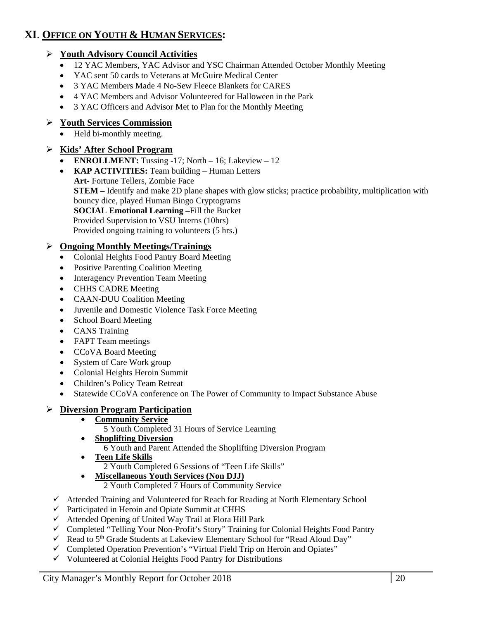## **XI**. **OFFICE ON YOUTH & HUMAN SERVICES:**

#### **Youth Advisory Council Activities**

- 12 YAC Members, YAC Advisor and YSC Chairman Attended October Monthly Meeting
- YAC sent 50 cards to Veterans at McGuire Medical Center
- 3 YAC Members Made 4 No-Sew Fleece Blankets for CARES
- 4 YAC Members and Advisor Volunteered for Halloween in the Park
- 3 YAC Officers and Advisor Met to Plan for the Monthly Meeting

#### **Youth Services Commission**

Held bi-monthly meeting.

#### **Kids' After School Program**

- **ENROLLMENT:** Tussing -17; North 16; Lakeview 12
- **KAP ACTIVITIES:** Team building Human Letters **Art-** Fortune Tellers, Zombie Face **STEM –** Identify and make 2D plane shapes with glow sticks; practice probability, multiplication with bouncy dice, played Human Bingo Cryptograms **SOCIAL Emotional Learning –**Fill the Bucket Provided Supervision to VSU Interns (10hrs) Provided ongoing training to volunteers (5 hrs.)

#### **Ongoing Monthly Meetings/Trainings**

- Colonial Heights Food Pantry Board Meeting
- Positive Parenting Coalition Meeting
- Interagency Prevention Team Meeting
- CHHS CADRE Meeting
- CAAN-DUU Coalition Meeting
- Juvenile and Domestic Violence Task Force Meeting
- School Board Meeting
- CANS Training
- FAPT Team meetings
- CCoVA Board Meeting
- System of Care Work group
- Colonial Heights Heroin Summit
- Children's Policy Team Retreat
- Statewide CCoVA conference on The Power of Community to Impact Substance Abuse

#### **Diversion Program Participation**

#### **Community Service**

- 5 Youth Completed 31 Hours of Service Learning
- **Shoplifting Diversion** 
	- 6 Youth and Parent Attended the Shoplifting Diversion Program
- **Teen Life Skills** 
	- 2 Youth Completed 6 Sessions of "Teen Life Skills"
	- **Miscellaneous Youth Services (Non DJJ)** 
		- 2 Youth Completed 7 Hours of Community Service
- Attended Training and Volunteered for Reach for Reading at North Elementary School
- $\checkmark$  Participated in Heroin and Opiate Summit at CHHS
- $\checkmark$  Attended Opening of United Way Trail at Flora Hill Park
- Completed "Telling Your Non-Profit's Story" Training for Colonial Heights Food Pantry
- Read to  $5<sup>th</sup>$  Grade Students at Lakeview Elementary School for "Read Aloud Day"
- Completed Operation Prevention's "Virtual Field Trip on Heroin and Opiates"
- $\checkmark$  Volunteered at Colonial Heights Food Pantry for Distributions